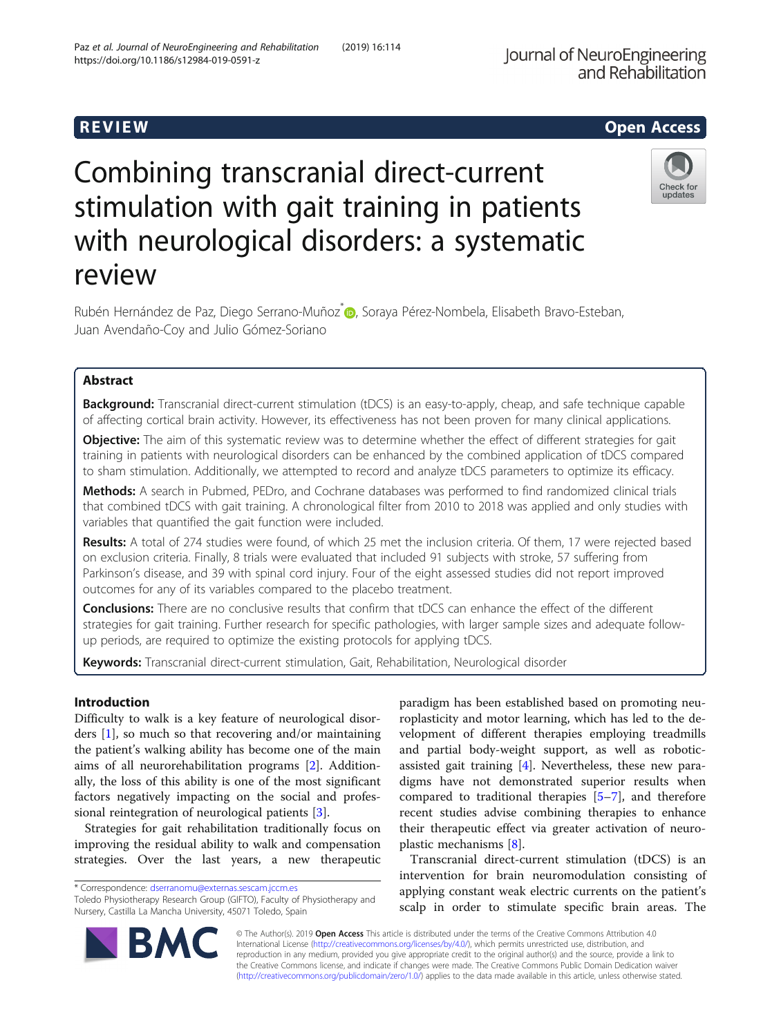# R EVI EW Open Access

# Combining transcranial direct-current stimulation with gait training in patients with neurological disorders: a systematic review



Rubén Hernández de Paz, Diego Serrano-Muñoz<sup>[\\*](http://orcid.org/0000-0002-7521-5087)</sup> (b. Soraya Pérez-Nombela, Elisabeth Bravo-Esteban, Juan Avendaño-Coy and Julio Gómez-Soriano

# Abstract

Background: Transcranial direct-current stimulation (tDCS) is an easy-to-apply, cheap, and safe technique capable of affecting cortical brain activity. However, its effectiveness has not been proven for many clinical applications.

Objective: The aim of this systematic review was to determine whether the effect of different strategies for gait training in patients with neurological disorders can be enhanced by the combined application of tDCS compared to sham stimulation. Additionally, we attempted to record and analyze tDCS parameters to optimize its efficacy.

Methods: A search in Pubmed, PEDro, and Cochrane databases was performed to find randomized clinical trials that combined tDCS with gait training. A chronological filter from 2010 to 2018 was applied and only studies with variables that quantified the gait function were included.

Results: A total of 274 studies were found, of which 25 met the inclusion criteria. Of them, 17 were rejected based on exclusion criteria. Finally, 8 trials were evaluated that included 91 subjects with stroke, 57 suffering from Parkinson's disease, and 39 with spinal cord injury. Four of the eight assessed studies did not report improved outcomes for any of its variables compared to the placebo treatment.

**Conclusions:** There are no conclusive results that confirm that tDCS can enhance the effect of the different strategies for gait training. Further research for specific pathologies, with larger sample sizes and adequate followup periods, are required to optimize the existing protocols for applying tDCS.

Keywords: Transcranial direct-current stimulation, Gait, Rehabilitation, Neurological disorder

# Introduction

Difficulty to walk is a key feature of neurological disorders [\[1](#page-6-0)], so much so that recovering and/or maintaining the patient's walking ability has become one of the main aims of all neurorehabilitation programs [[2\]](#page-6-0). Additionally, the loss of this ability is one of the most significant factors negatively impacting on the social and professional reintegration of neurological patients [\[3](#page-6-0)].

Strategies for gait rehabilitation traditionally focus on improving the residual ability to walk and compensation strategies. Over the last years, a new therapeutic

\* Correspondence: [dserranomu@externas.sescam.jccm.es](mailto:dserranomu@externas.sescam.jccm.es)

paradigm has been established based on promoting neuroplasticity and motor learning, which has led to the development of different therapies employing treadmills and partial body-weight support, as well as roboticassisted gait training [\[4](#page-6-0)]. Nevertheless, these new paradigms have not demonstrated superior results when compared to traditional therapies [[5](#page-6-0)–[7](#page-6-0)], and therefore recent studies advise combining therapies to enhance their therapeutic effect via greater activation of neuroplastic mechanisms [\[8](#page-6-0)].

Transcranial direct-current stimulation (tDCS) is an intervention for brain neuromodulation consisting of applying constant weak electric currents on the patient's scalp in order to stimulate specific brain areas. The



© The Author(s). 2019 **Open Access** This article is distributed under the terms of the Creative Commons Attribution 4.0 International License [\(http://creativecommons.org/licenses/by/4.0/](http://creativecommons.org/licenses/by/4.0/)), which permits unrestricted use, distribution, and reproduction in any medium, provided you give appropriate credit to the original author(s) and the source, provide a link to the Creative Commons license, and indicate if changes were made. The Creative Commons Public Domain Dedication waiver [\(http://creativecommons.org/publicdomain/zero/1.0/](http://creativecommons.org/publicdomain/zero/1.0/)) applies to the data made available in this article, unless otherwise stated.

Toledo Physiotherapy Research Group (GIFTO), Faculty of Physiotherapy and Nursery, Castilla La Mancha University, 45071 Toledo, Spain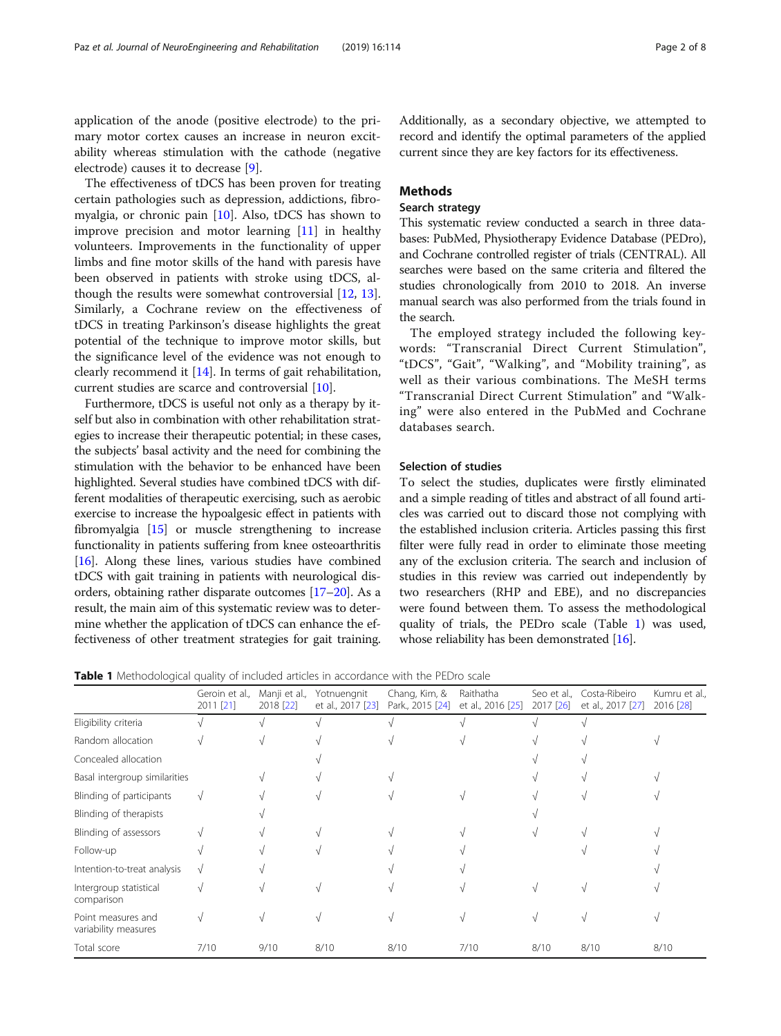application of the anode (positive electrode) to the primary motor cortex causes an increase in neuron excitability whereas stimulation with the cathode (negative electrode) causes it to decrease [[9\]](#page-6-0).

The effectiveness of tDCS has been proven for treating certain pathologies such as depression, addictions, fibromyalgia, or chronic pain [[10](#page-6-0)]. Also, tDCS has shown to improve precision and motor learning [[11\]](#page-7-0) in healthy volunteers. Improvements in the functionality of upper limbs and fine motor skills of the hand with paresis have been observed in patients with stroke using tDCS, although the results were somewhat controversial [\[12](#page-7-0), [13](#page-7-0)]. Similarly, a Cochrane review on the effectiveness of tDCS in treating Parkinson's disease highlights the great potential of the technique to improve motor skills, but the significance level of the evidence was not enough to clearly recommend it [[14](#page-7-0)]. In terms of gait rehabilitation, current studies are scarce and controversial [\[10\]](#page-6-0).

Furthermore, tDCS is useful not only as a therapy by itself but also in combination with other rehabilitation strategies to increase their therapeutic potential; in these cases, the subjects' basal activity and the need for combining the stimulation with the behavior to be enhanced have been highlighted. Several studies have combined tDCS with different modalities of therapeutic exercising, such as aerobic exercise to increase the hypoalgesic effect in patients with fibromyalgia [\[15\]](#page-7-0) or muscle strengthening to increase functionality in patients suffering from knee osteoarthritis [[16](#page-7-0)]. Along these lines, various studies have combined tDCS with gait training in patients with neurological disorders, obtaining rather disparate outcomes [\[17](#page-7-0)–[20](#page-7-0)]. As a result, the main aim of this systematic review was to determine whether the application of tDCS can enhance the effectiveness of other treatment strategies for gait training.

Additionally, as a secondary objective, we attempted to record and identify the optimal parameters of the applied current since they are key factors for its effectiveness.

#### **Methods**

#### Search strategy

This systematic review conducted a search in three databases: PubMed, Physiotherapy Evidence Database (PEDro), and Cochrane controlled register of trials (CENTRAL). All searches were based on the same criteria and filtered the studies chronologically from 2010 to 2018. An inverse manual search was also performed from the trials found in the search.

The employed strategy included the following keywords: "Transcranial Direct Current Stimulation", "tDCS", "Gait", "Walking", and "Mobility training", as well as their various combinations. The MeSH terms "Transcranial Direct Current Stimulation" and "Walking" were also entered in the PubMed and Cochrane databases search.

#### Selection of studies

To select the studies, duplicates were firstly eliminated and a simple reading of titles and abstract of all found articles was carried out to discard those not complying with the established inclusion criteria. Articles passing this first filter were fully read in order to eliminate those meeting any of the exclusion criteria. The search and inclusion of studies in this review was carried out independently by two researchers (RHP and EBE), and no discrepancies were found between them. To assess the methodological quality of trials, the PEDro scale (Table 1) was used, whose reliability has been demonstrated [\[16\]](#page-7-0).

Table 1 Methodological quality of included articles in accordance with the PEDro scale

|                                            | Geroin et al.,<br>2011 [21] | Manji et al.,<br>2018 [22] | Yotnuengnit<br>et al., 2017 [23] | Chang, Kim, &<br>Park., 2015 [24] | Raithatha<br>et al., 2016 [25] | 2017 [26] | Seo et al., Costa-Ribeiro<br>et al., 2017 [27] | Kumru et al.,<br>2016 [28] |
|--------------------------------------------|-----------------------------|----------------------------|----------------------------------|-----------------------------------|--------------------------------|-----------|------------------------------------------------|----------------------------|
| Eligibility criteria                       |                             |                            |                                  |                                   |                                |           |                                                |                            |
| Random allocation                          |                             |                            |                                  |                                   |                                |           |                                                |                            |
| Concealed allocation                       |                             |                            |                                  |                                   |                                |           |                                                |                            |
| Basal intergroup similarities              |                             |                            |                                  |                                   |                                |           |                                                |                            |
| Blinding of participants                   |                             |                            |                                  |                                   |                                |           |                                                |                            |
| Blinding of therapists                     |                             |                            |                                  |                                   |                                |           |                                                |                            |
| Blinding of assessors                      |                             |                            |                                  |                                   |                                |           |                                                |                            |
| Follow-up                                  |                             |                            |                                  |                                   |                                |           |                                                |                            |
| Intention-to-treat analysis                |                             |                            |                                  |                                   |                                |           |                                                |                            |
| Intergroup statistical<br>comparison       |                             |                            |                                  |                                   |                                |           |                                                |                            |
| Point measures and<br>variability measures |                             |                            |                                  |                                   |                                |           |                                                |                            |
| Total score                                | 7/10                        | 9/10                       | 8/10                             | 8/10                              | 7/10                           | 8/10      | 8/10                                           | 8/10                       |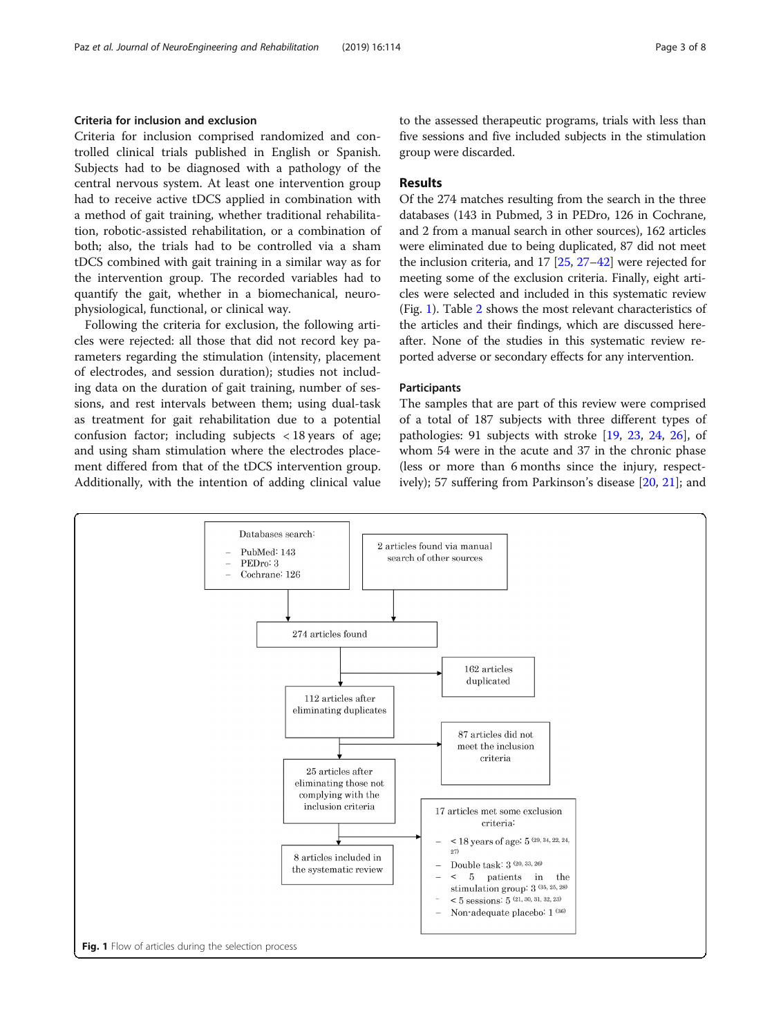### Criteria for inclusion and exclusion

Criteria for inclusion comprised randomized and controlled clinical trials published in English or Spanish. Subjects had to be diagnosed with a pathology of the central nervous system. At least one intervention group had to receive active tDCS applied in combination with a method of gait training, whether traditional rehabilitation, robotic-assisted rehabilitation, or a combination of both; also, the trials had to be controlled via a sham tDCS combined with gait training in a similar way as for the intervention group. The recorded variables had to quantify the gait, whether in a biomechanical, neurophysiological, functional, or clinical way.

Following the criteria for exclusion, the following articles were rejected: all those that did not record key parameters regarding the stimulation (intensity, placement of electrodes, and session duration); studies not including data on the duration of gait training, number of sessions, and rest intervals between them; using dual-task as treatment for gait rehabilitation due to a potential confusion factor; including subjects < 18 years of age; and using sham stimulation where the electrodes placement differed from that of the tDCS intervention group. Additionally, with the intention of adding clinical value to the assessed therapeutic programs, trials with less than five sessions and five included subjects in the stimulation group were discarded.

#### Results

Of the 274 matches resulting from the search in the three databases (143 in Pubmed, 3 in PEDro, 126 in Cochrane, and 2 from a manual search in other sources), 162 articles were eliminated due to being duplicated, 87 did not meet the inclusion criteria, and 17 [\[25](#page-7-0), [27](#page-7-0)–[42](#page-7-0)] were rejected for meeting some of the exclusion criteria. Finally, eight articles were selected and included in this systematic review (Fig. 1). Table [2](#page-3-0) shows the most relevant characteristics of the articles and their findings, which are discussed hereafter. None of the studies in this systematic review reported adverse or secondary effects for any intervention.

#### **Participants**

The samples that are part of this review were comprised of a total of 187 subjects with three different types of pathologies: 91 subjects with stroke [[19](#page-7-0), [23,](#page-7-0) [24,](#page-7-0) [26](#page-7-0)], of whom 54 were in the acute and 37 in the chronic phase (less or more than 6 months since the injury, respectively); 57 suffering from Parkinson's disease [\[20](#page-7-0), [21](#page-7-0)]; and

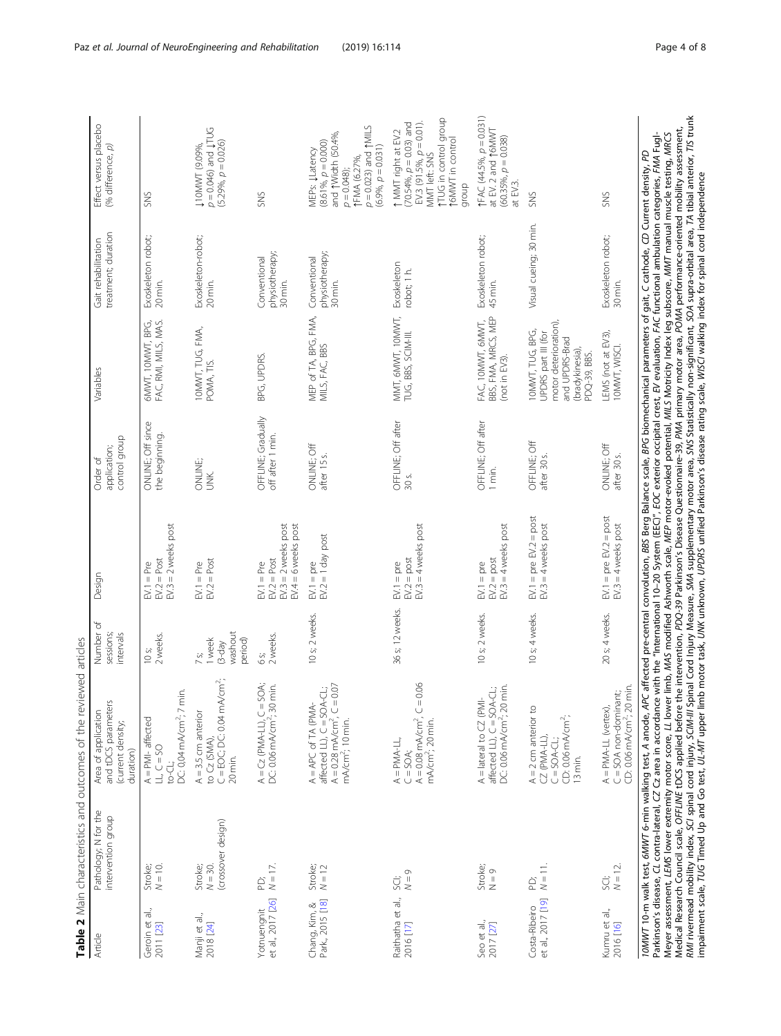<span id="page-3-0"></span>

|                                    |                                                             | Table 2 Main characteristics and outcomes of the reviewed articles                                                                                                                                                                                                                                                                                                                                                                                                                                                                                                                                                                                                                                                                                                                                                                                 |                                                              |                                                                                                                                       |                                           |                                                                                                                       |                                            |                                                                                                                                                                           |
|------------------------------------|-------------------------------------------------------------|----------------------------------------------------------------------------------------------------------------------------------------------------------------------------------------------------------------------------------------------------------------------------------------------------------------------------------------------------------------------------------------------------------------------------------------------------------------------------------------------------------------------------------------------------------------------------------------------------------------------------------------------------------------------------------------------------------------------------------------------------------------------------------------------------------------------------------------------------|--------------------------------------------------------------|---------------------------------------------------------------------------------------------------------------------------------------|-------------------------------------------|-----------------------------------------------------------------------------------------------------------------------|--------------------------------------------|---------------------------------------------------------------------------------------------------------------------------------------------------------------------------|
| Article                            | Pathology; N for the<br>intervention group                  | and tDCS parameters<br>Area of application<br>(current density;<br>duration)                                                                                                                                                                                                                                                                                                                                                                                                                                                                                                                                                                                                                                                                                                                                                                       | Number of<br>sessions;<br>intervals                          | Design                                                                                                                                | control group<br>application;<br>Order of | Variables                                                                                                             | treatment; duration<br>Gait rehabilitation | Effect versus placebo<br>(% difference, p)                                                                                                                                |
| Geroin et al.,<br>2011 [23]        | $N = 10.$<br>Stroke;                                        | DC: 0,04 mA/cm <sup>2</sup> ; 7 min.<br>$A = PMI - affected$<br>LL, $C = 50$<br>to-CL:                                                                                                                                                                                                                                                                                                                                                                                                                                                                                                                                                                                                                                                                                                                                                             | 2 weeks.<br>10s                                              | $EV.3 = 2$ weeks post<br>$EV.2 = Post$<br>$EVI = Pre$                                                                                 | ONLINE; Off since<br>the beginning.       | FAC, RMI, MILS, MAS.<br>6MWT, 10MWT, BPG,                                                                             | Exoskeleton robot;<br>20 min.              | SNS                                                                                                                                                                       |
| Manji et al.,<br>2018 [24]         | (crossover design)<br>Stroke;<br>$N = 30.$                  | $C = EOC; DC: O.O4 mA/cm2;$<br>$A = 3.5$ cm anterior<br>to Cz (SMA),<br>20 min.                                                                                                                                                                                                                                                                                                                                                                                                                                                                                                                                                                                                                                                                                                                                                                    | washout<br>period)<br>1 week<br>$(3-day)$<br>$7\,\mathrm{s}$ | $EV.2 = Post$<br>$EV.1 = Pre$                                                                                                         | ONLINE;<br>Š                              | 10MWT, TUG, FMA,<br>POMA, TIS.                                                                                        | Exoskeleton-robot;<br>20 min.              | $p = 0.046$ ) and $\downarrow \text{TUG}$<br>$(5.29\% , p = 0.026)$<br>↓10MWT (9.09%,                                                                                     |
| et al., 2017 [26]<br>Yotnuengnit   | $N = 17$ .<br>Ë                                             | $A = Cz$ (PMA-LL), $C = SOA$ ;<br>DC: 0.06 mA/cm <sup>2</sup> ; 30 min.                                                                                                                                                                                                                                                                                                                                                                                                                                                                                                                                                                                                                                                                                                                                                                            | 2 weeks.<br>$6$ S;                                           | $EV.3 = 2$ weeks post<br>$EVA = 6$ weeks post<br>$EV.2 = Post$<br>$EV.1 = Pre$                                                        | OFFLINE; Gradually<br>off after 1 min.    | BPG, UPDRS.                                                                                                           | physiotherapy;<br>Conventional<br>30 min.  | SNS                                                                                                                                                                       |
| Park, 2015 [18]<br>Chang, Kim, &   | Stroke;<br>$N = 12$                                         | affected LL), $C = SOA-CL$ ;<br>A = 0.28 mA/cm <sup>2</sup> , $C = 0.07$<br>$A = APC$ of TA (PMA-<br>mA/cm <sup>2</sup> ; 10 min.                                                                                                                                                                                                                                                                                                                                                                                                                                                                                                                                                                                                                                                                                                                  | 10 s; 2 weeks.                                               | $EV2 = 1$ day post<br>$EV.1 = pre$                                                                                                    | ONLINE; Off<br>after 15 s.                | MEP of TA, BPG, FMA,<br>MILS, FAC, BBS                                                                                | physiotherapy;<br>Conventional<br>30 min.  | $p = 0.023$ ) and $\uparrow$ MILS<br>and TWidth (50.4%,<br>$(8.61\% p = 0.000)$<br>$(6.9\% , p = 0.031)$<br>MEPs: <b>JLatency</b><br><b>TFMA (6.27%,</b><br>$p = 0.048$ ; |
| Raithatha et al.,<br>2016 [17]     | $N = 9$<br>ġ                                                | $A = 0.08$ mA/cm <sup>2</sup> , $C = 0.06$<br>mA/cm <sup>2</sup> ; 20 min.<br>$A = PMA - LL$<br>$C = SOA$                                                                                                                                                                                                                                                                                                                                                                                                                                                                                                                                                                                                                                                                                                                                          | 36 s; 12 weeks.                                              | $EV.3 = 4$ weeks post<br>$EV.2 = post$<br>$EV.1 = pre$                                                                                | OFFLINE; Off after<br>30 S.               | MMT, 6MWT, 10MWT,<br>TUG, BBS, SCIM-III.                                                                              | Exoskeleton<br>robot; 1 h.                 | MUG in control group<br>EV.3 (91.5%, $p = 0.01$ ).<br>$(70.54\%, p = 0.03)$ and<br>1 MMT right at EV.2<br>MWT in control<br>MMT left: SNS<br>qroup                        |
| Seo et al.,<br>2017 [27]           | Stroke;<br>$\frac{1}{2}$                                    | DC: 0.06 mA/cm <sup>2</sup> ; 20 min.<br>affected LL), C = SOA-CL;<br>$A =$ lateral to $CZ$ (PMI                                                                                                                                                                                                                                                                                                                                                                                                                                                                                                                                                                                                                                                                                                                                                   | 10 s; 2 weeks.                                               | $EV.3 = 4$ weeks post<br>$EV.2 = post$<br>$EVI = pre$                                                                                 | OFFLINE; Off after<br>1 min.              | BBS, FMA, MRCS, MEP<br>FAC, 10MWT, 6MWT,<br>(not in EV3).                                                             | Exoskeleton robot;<br>45 min.              | <b>TFAC</b> (44.5%, $p = 0.031$ )<br>at EV. 2 and 16MWT<br>$(60.35\%, p = 0.038)$<br>at EV.3.                                                                             |
| et al., 2017 [19]<br>Costa-Ribeiro | $N = 11$ .<br>Ë                                             | $A = 2$ cm anterior to<br>CD: 0.06 mA/cm <sup>2</sup> ;<br>CZ (PMA-LL),<br>$C = SOA - CL$<br>$13$ min.                                                                                                                                                                                                                                                                                                                                                                                                                                                                                                                                                                                                                                                                                                                                             | 10 s; 4 weeks.                                               | $EV.1 = pre$ $EV.2 = post$<br>$EV.3 = 4$ weeks post                                                                                   | OFFLINE; Off<br>after 30 s.               | motor deterioration),<br>10MWT, TUG, BPG,<br>UPDRS part III (for<br>and UPDRS-Brad<br>(bradykinesia),<br>PDQ-39, BBS. | Visual cueing; 30 min.                     | SNS                                                                                                                                                                       |
| Kumru et al.,<br>2016 [16]         | $N = 12$ .<br>ġ                                             | CD: 0.06 mA/cm <sup>2</sup> ; 20 min.<br>A = PMA-LL (vertex),<br>C = SOA non-dominant;                                                                                                                                                                                                                                                                                                                                                                                                                                                                                                                                                                                                                                                                                                                                                             | 20 s; 4 weeks.                                               | $EV.1 = pre$ $EV.2 = post$<br>$EV.3 = 4$ weeks post                                                                                   | ONLINE; Off<br>after 30 <sub>s</sub> .    | LEMS (not at EV3),<br>10MWT, WISCI.                                                                                   | Exoskeleton robot;<br>30 min.              | SNS                                                                                                                                                                       |
|                                    | Medical Research Council scale, OFFLINE tDCS applied before | RM rivermead mobility index, SCI spinal cord injury, SCIM-III Spinal Cord Injury Measure, SMA supplementary motor area, SNS Statistically non-significant, SOA supra-orbital area, 7A tibial anterior, 7IS trunk<br>impairment sc<br>Parkinson's disease, CL contra-lateral, CZ Cz area in accordance with the "International 10-20 System (EEC)", EOC exterior occipital crest, EV evaluation, FAC functional ambulation categories, FMA Fugl-<br>Meyer assessment, LEMS lower extremity motor score, LL lower limb, MAS modified Ashworth scale, MEP motor-evoked potential, MILS Motricity Index leg subscore, MMT manual muscle testing, MRCS<br>10MWT 10-m walk test, 6MWT 6-min walking test, A anode, APC affected pre-central convolution, BBS Berg Balance scale, BPG biomechanical parameters of gait, C cathode, CD Current density, PD |                                                              | the intervention, PDQ-39 Parkinson's Disease Questionnaire-39, PMA primary motor area, POMA performance-oriented mobility assessment, |                                           |                                                                                                                       |                                            |                                                                                                                                                                           |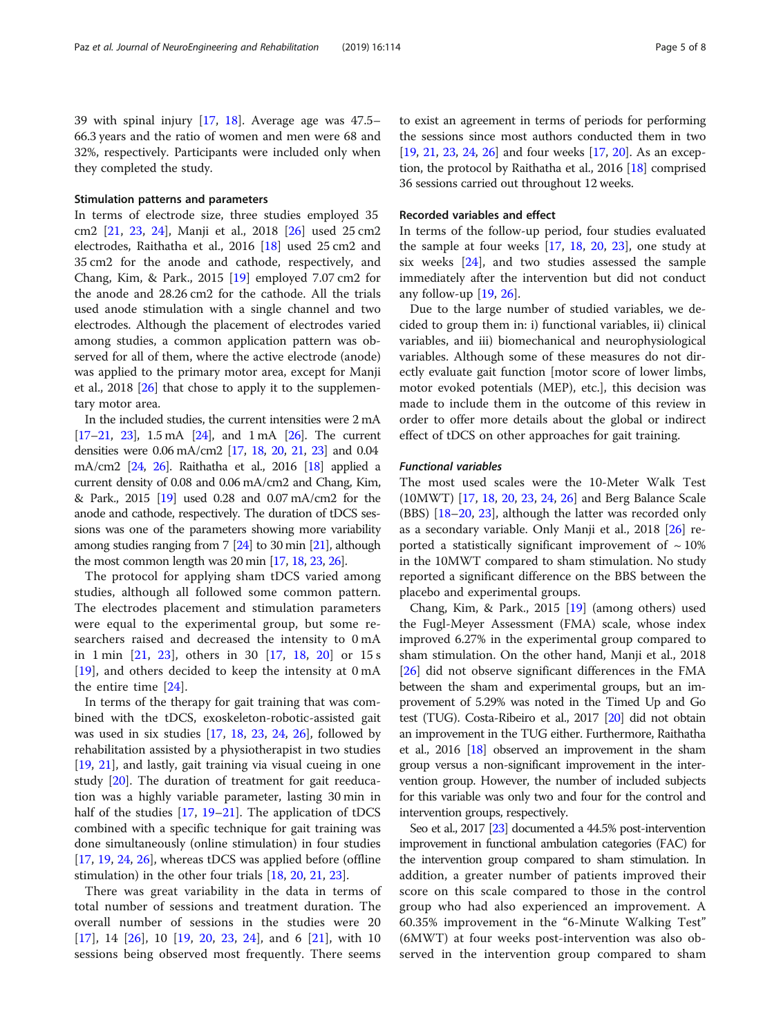39 with spinal injury [[17,](#page-7-0) [18](#page-7-0)]. Average age was 47.5– 66.3 years and the ratio of women and men were 68 and 32%, respectively. Participants were included only when they completed the study.

#### Stimulation patterns and parameters

In terms of electrode size, three studies employed 35 cm2 [\[21,](#page-7-0) [23,](#page-7-0) [24](#page-7-0)], Manji et al., 2018 [\[26\]](#page-7-0) used 25 cm2 electrodes, Raithatha et al., 2016 [[18\]](#page-7-0) used 25 cm2 and 35 cm2 for the anode and cathode, respectively, and Chang, Kim, & Park., 2015 [[19\]](#page-7-0) employed 7.07 cm2 for the anode and 28.26 cm2 for the cathode. All the trials used anode stimulation with a single channel and two electrodes. Although the placement of electrodes varied among studies, a common application pattern was observed for all of them, where the active electrode (anode) was applied to the primary motor area, except for Manji et al., 2018 [[26\]](#page-7-0) that chose to apply it to the supplementary motor area.

In the included studies, the current intensities were 2 mA [[17](#page-7-0)–[21](#page-7-0), [23\]](#page-7-0), 1.5 mA [\[24\]](#page-7-0), and 1 mA [\[26](#page-7-0)]. The current densities were 0.06 mA/cm2 [[17](#page-7-0), [18](#page-7-0), [20,](#page-7-0) [21,](#page-7-0) [23](#page-7-0)] and 0.04 mA/cm2 [\[24,](#page-7-0) [26](#page-7-0)]. Raithatha et al., 2016 [[18](#page-7-0)] applied a current density of 0.08 and 0.06 mA/cm2 and Chang, Kim, & Park., 2015 [\[19\]](#page-7-0) used 0.28 and 0.07 mA/cm2 for the anode and cathode, respectively. The duration of tDCS sessions was one of the parameters showing more variability among studies ranging from 7 [\[24\]](#page-7-0) to 30 min [\[21](#page-7-0)], although the most common length was 20 min [\[17,](#page-7-0) [18,](#page-7-0) [23,](#page-7-0) [26](#page-7-0)].

The protocol for applying sham tDCS varied among studies, although all followed some common pattern. The electrodes placement and stimulation parameters were equal to the experimental group, but some researchers raised and decreased the intensity to 0 mA in 1 min [[21,](#page-7-0) [23\]](#page-7-0), others in 30 [[17,](#page-7-0) [18,](#page-7-0) [20](#page-7-0)] or 15 s [[19\]](#page-7-0), and others decided to keep the intensity at 0 mA the entire time [[24\]](#page-7-0).

In terms of the therapy for gait training that was combined with the tDCS, exoskeleton-robotic-assisted gait was used in six studies [\[17](#page-7-0), [18,](#page-7-0) [23,](#page-7-0) [24,](#page-7-0) [26](#page-7-0)], followed by rehabilitation assisted by a physiotherapist in two studies [[19,](#page-7-0) [21](#page-7-0)], and lastly, gait training via visual cueing in one study [[20\]](#page-7-0). The duration of treatment for gait reeducation was a highly variable parameter, lasting 30 min in half of the studies [[17](#page-7-0), [19](#page-7-0)–[21\]](#page-7-0). The application of tDCS combined with a specific technique for gait training was done simultaneously (online stimulation) in four studies [[17,](#page-7-0) [19,](#page-7-0) [24](#page-7-0), [26](#page-7-0)], whereas tDCS was applied before (offline stimulation) in the other four trials [[18](#page-7-0), [20](#page-7-0), [21](#page-7-0), [23](#page-7-0)].

There was great variability in the data in terms of total number of sessions and treatment duration. The overall number of sessions in the studies were 20  $[17]$  $[17]$ , 14  $[26]$  $[26]$ , 10  $[19, 20, 23, 24]$  $[19, 20, 23, 24]$  $[19, 20, 23, 24]$  $[19, 20, 23, 24]$  $[19, 20, 23, 24]$  $[19, 20, 23, 24]$  $[19, 20, 23, 24]$  $[19, 20, 23, 24]$ , and 6  $[21]$  $[21]$ , with 10 sessions being observed most frequently. There seems

to exist an agreement in terms of periods for performing the sessions since most authors conducted them in two [[19](#page-7-0), [21](#page-7-0), [23](#page-7-0), [24](#page-7-0), [26\]](#page-7-0) and four weeks [\[17,](#page-7-0) [20\]](#page-7-0). As an exception, the protocol by Raithatha et al., 2016 [\[18\]](#page-7-0) comprised 36 sessions carried out throughout 12 weeks.

#### Recorded variables and effect

In terms of the follow-up period, four studies evaluated the sample at four weeks [[17](#page-7-0), [18,](#page-7-0) [20,](#page-7-0) [23\]](#page-7-0), one study at six weeks  $[24]$ , and two studies assessed the sample immediately after the intervention but did not conduct any follow-up  $[19, 26]$  $[19, 26]$  $[19, 26]$ .

Due to the large number of studied variables, we decided to group them in: i) functional variables, ii) clinical variables, and iii) biomechanical and neurophysiological variables. Although some of these measures do not directly evaluate gait function [motor score of lower limbs, motor evoked potentials (MEP), etc.], this decision was made to include them in the outcome of this review in order to offer more details about the global or indirect effect of tDCS on other approaches for gait training.

#### Functional variables

The most used scales were the 10-Meter Walk Test (10MWT) [[17](#page-7-0), [18](#page-7-0), [20](#page-7-0), [23](#page-7-0), [24](#page-7-0), [26](#page-7-0)] and Berg Balance Scale (BBS) [\[18](#page-7-0)–[20,](#page-7-0) [23\]](#page-7-0), although the latter was recorded only as a secondary variable. Only Manji et al., 2018 [\[26](#page-7-0)] reported a statistically significant improvement of  $\sim 10\%$ in the 10MWT compared to sham stimulation. No study reported a significant difference on the BBS between the placebo and experimental groups.

Chang, Kim, & Park., 2015 [[19](#page-7-0)] (among others) used the Fugl-Meyer Assessment (FMA) scale, whose index improved 6.27% in the experimental group compared to sham stimulation. On the other hand, Manji et al., 2018 [[26\]](#page-7-0) did not observe significant differences in the FMA between the sham and experimental groups, but an improvement of 5.29% was noted in the Timed Up and Go test (TUG). Costa-Ribeiro et al., 2017 [\[20](#page-7-0)] did not obtain an improvement in the TUG either. Furthermore, Raithatha et al., 2016 [\[18](#page-7-0)] observed an improvement in the sham group versus a non-significant improvement in the intervention group. However, the number of included subjects for this variable was only two and four for the control and intervention groups, respectively.

Seo et al., 2017 [[23\]](#page-7-0) documented a 44.5% post-intervention improvement in functional ambulation categories (FAC) for the intervention group compared to sham stimulation. In addition, a greater number of patients improved their score on this scale compared to those in the control group who had also experienced an improvement. A 60.35% improvement in the "6-Minute Walking Test" (6MWT) at four weeks post-intervention was also observed in the intervention group compared to sham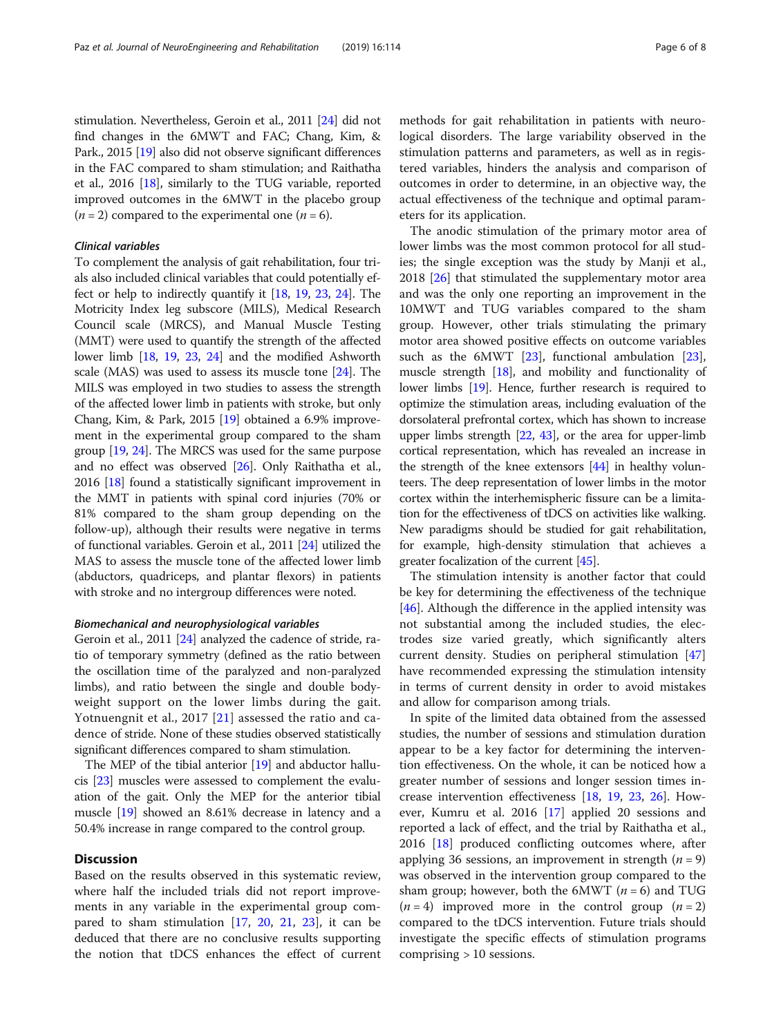stimulation. Nevertheless, Geroin et al., 2011 [\[24\]](#page-7-0) did not find changes in the 6MWT and FAC; Chang, Kim, & Park., 2015 [\[19](#page-7-0)] also did not observe significant differences in the FAC compared to sham stimulation; and Raithatha et al., 2016 [\[18\]](#page-7-0), similarly to the TUG variable, reported improved outcomes in the 6MWT in the placebo group  $(n = 2)$  compared to the experimental one  $(n = 6)$ .

#### Clinical variables

To complement the analysis of gait rehabilitation, four trials also included clinical variables that could potentially effect or help to indirectly quantify it [[18](#page-7-0), [19,](#page-7-0) [23](#page-7-0), [24\]](#page-7-0). The Motricity Index leg subscore (MILS), Medical Research Council scale (MRCS), and Manual Muscle Testing (MMT) were used to quantify the strength of the affected lower limb [\[18,](#page-7-0) [19,](#page-7-0) [23,](#page-7-0) [24](#page-7-0)] and the modified Ashworth scale (MAS) was used to assess its muscle tone [\[24\]](#page-7-0). The MILS was employed in two studies to assess the strength of the affected lower limb in patients with stroke, but only Chang, Kim, & Park, 2015 [\[19\]](#page-7-0) obtained a 6.9% improvement in the experimental group compared to the sham group [\[19,](#page-7-0) [24](#page-7-0)]. The MRCS was used for the same purpose and no effect was observed [[26](#page-7-0)]. Only Raithatha et al., 2016 [[18](#page-7-0)] found a statistically significant improvement in the MMT in patients with spinal cord injuries (70% or 81% compared to the sham group depending on the follow-up), although their results were negative in terms of functional variables. Geroin et al., 2011 [\[24\]](#page-7-0) utilized the MAS to assess the muscle tone of the affected lower limb (abductors, quadriceps, and plantar flexors) in patients with stroke and no intergroup differences were noted.

#### Biomechanical and neurophysiological variables

Geroin et al., 2011 [\[24\]](#page-7-0) analyzed the cadence of stride, ratio of temporary symmetry (defined as the ratio between the oscillation time of the paralyzed and non-paralyzed limbs), and ratio between the single and double bodyweight support on the lower limbs during the gait. Yotnuengnit et al., 2017 [\[21](#page-7-0)] assessed the ratio and cadence of stride. None of these studies observed statistically significant differences compared to sham stimulation.

The MEP of the tibial anterior [[19](#page-7-0)] and abductor hallucis [[23\]](#page-7-0) muscles were assessed to complement the evaluation of the gait. Only the MEP for the anterior tibial muscle [\[19\]](#page-7-0) showed an 8.61% decrease in latency and a 50.4% increase in range compared to the control group.

### **Discussion**

Based on the results observed in this systematic review, where half the included trials did not report improvements in any variable in the experimental group compared to sham stimulation [\[17](#page-7-0), [20](#page-7-0), [21](#page-7-0), [23](#page-7-0)], it can be deduced that there are no conclusive results supporting the notion that tDCS enhances the effect of current

methods for gait rehabilitation in patients with neurological disorders. The large variability observed in the stimulation patterns and parameters, as well as in registered variables, hinders the analysis and comparison of outcomes in order to determine, in an objective way, the actual effectiveness of the technique and optimal parameters for its application.

The anodic stimulation of the primary motor area of lower limbs was the most common protocol for all studies; the single exception was the study by Manji et al., 2018 [[26\]](#page-7-0) that stimulated the supplementary motor area and was the only one reporting an improvement in the 10MWT and TUG variables compared to the sham group. However, other trials stimulating the primary motor area showed positive effects on outcome variables such as the 6MWT [[23\]](#page-7-0), functional ambulation [\[23](#page-7-0)], muscle strength [[18](#page-7-0)], and mobility and functionality of lower limbs [[19](#page-7-0)]. Hence, further research is required to optimize the stimulation areas, including evaluation of the dorsolateral prefrontal cortex, which has shown to increase upper limbs strength [\[22,](#page-7-0) [43](#page-7-0)], or the area for upper-limb cortical representation, which has revealed an increase in the strength of the knee extensors [\[44\]](#page-7-0) in healthy volunteers. The deep representation of lower limbs in the motor cortex within the interhemispheric fissure can be a limitation for the effectiveness of tDCS on activities like walking. New paradigms should be studied for gait rehabilitation, for example, high-density stimulation that achieves a greater focalization of the current [\[45](#page-7-0)].

The stimulation intensity is another factor that could be key for determining the effectiveness of the technique [[46\]](#page-7-0). Although the difference in the applied intensity was not substantial among the included studies, the electrodes size varied greatly, which significantly alters current density. Studies on peripheral stimulation [[47](#page-7-0)] have recommended expressing the stimulation intensity in terms of current density in order to avoid mistakes and allow for comparison among trials.

In spite of the limited data obtained from the assessed studies, the number of sessions and stimulation duration appear to be a key factor for determining the intervention effectiveness. On the whole, it can be noticed how a greater number of sessions and longer session times increase intervention effectiveness [[18,](#page-7-0) [19](#page-7-0), [23](#page-7-0), [26\]](#page-7-0). However, Kumru et al. 2016 [\[17\]](#page-7-0) applied 20 sessions and reported a lack of effect, and the trial by Raithatha et al., 2016 [[18\]](#page-7-0) produced conflicting outcomes where, after applying 36 sessions, an improvement in strength  $(n = 9)$ was observed in the intervention group compared to the sham group; however, both the  $6MWT$  ( $n = 6$ ) and TUG  $(n = 4)$  improved more in the control group  $(n = 2)$ compared to the tDCS intervention. Future trials should investigate the specific effects of stimulation programs comprising > 10 sessions.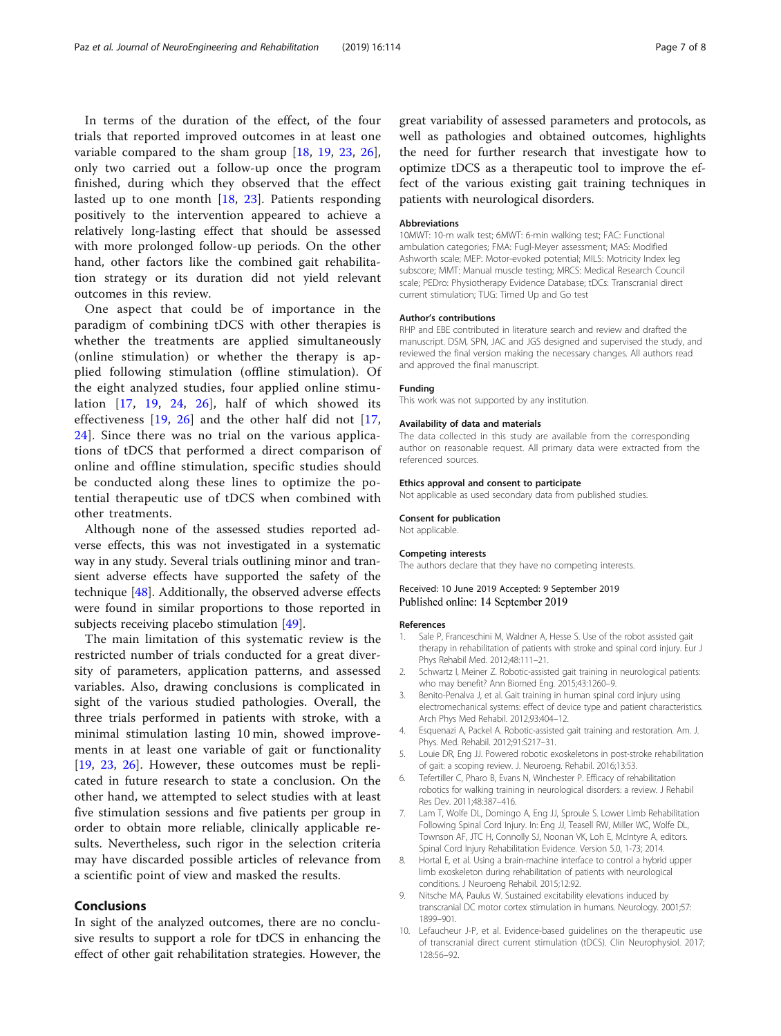<span id="page-6-0"></span>In terms of the duration of the effect, of the four trials that reported improved outcomes in at least one variable compared to the sham group [\[18](#page-7-0), [19,](#page-7-0) [23,](#page-7-0) [26](#page-7-0)], only two carried out a follow-up once the program finished, during which they observed that the effect lasted up to one month [\[18](#page-7-0), [23](#page-7-0)]. Patients responding positively to the intervention appeared to achieve a relatively long-lasting effect that should be assessed with more prolonged follow-up periods. On the other hand, other factors like the combined gait rehabilitation strategy or its duration did not yield relevant outcomes in this review.

One aspect that could be of importance in the paradigm of combining tDCS with other therapies is whether the treatments are applied simultaneously (online stimulation) or whether the therapy is applied following stimulation (offline stimulation). Of the eight analyzed studies, four applied online stimulation  $[17, 19, 24, 26]$  $[17, 19, 24, 26]$  $[17, 19, 24, 26]$  $[17, 19, 24, 26]$  $[17, 19, 24, 26]$  $[17, 19, 24, 26]$  $[17, 19, 24, 26]$  $[17, 19, 24, 26]$ , half of which showed its effectiveness [[19](#page-7-0), [26](#page-7-0)] and the other half did not [\[17](#page-7-0), [24\]](#page-7-0). Since there was no trial on the various applications of tDCS that performed a direct comparison of online and offline stimulation, specific studies should be conducted along these lines to optimize the potential therapeutic use of tDCS when combined with other treatments.

Although none of the assessed studies reported adverse effects, this was not investigated in a systematic way in any study. Several trials outlining minor and transient adverse effects have supported the safety of the technique [[48\]](#page-7-0). Additionally, the observed adverse effects were found in similar proportions to those reported in subjects receiving placebo stimulation [\[49\]](#page-7-0).

The main limitation of this systematic review is the restricted number of trials conducted for a great diversity of parameters, application patterns, and assessed variables. Also, drawing conclusions is complicated in sight of the various studied pathologies. Overall, the three trials performed in patients with stroke, with a minimal stimulation lasting 10 min, showed improvements in at least one variable of gait or functionality [[19,](#page-7-0) [23,](#page-7-0) [26\]](#page-7-0). However, these outcomes must be replicated in future research to state a conclusion. On the other hand, we attempted to select studies with at least five stimulation sessions and five patients per group in order to obtain more reliable, clinically applicable results. Nevertheless, such rigor in the selection criteria may have discarded possible articles of relevance from a scientific point of view and masked the results.

#### Conclusions

In sight of the analyzed outcomes, there are no conclusive results to support a role for tDCS in enhancing the effect of other gait rehabilitation strategies. However, the

great variability of assessed parameters and protocols, as well as pathologies and obtained outcomes, highlights the need for further research that investigate how to optimize tDCS as a therapeutic tool to improve the effect of the various existing gait training techniques in patients with neurological disorders.

#### Abbreviations

10MWT: 10-m walk test; 6MWT: 6-min walking test; FAC: Functional ambulation categories; FMA: Fugl-Meyer assessment; MAS: Modified Ashworth scale; MEP: Motor-evoked potential; MILS: Motricity Index leg subscore; MMT: Manual muscle testing; MRCS: Medical Research Council scale; PEDro: Physiotherapy Evidence Database; tDCs: Transcranial direct current stimulation; TUG: Timed Up and Go test

#### Author's contributions

RHP and EBE contributed in literature search and review and drafted the manuscript. DSM, SPN, JAC and JGS designed and supervised the study, and reviewed the final version making the necessary changes. All authors read and approved the final manuscript.

#### Funding

This work was not supported by any institution.

#### Availability of data and materials

The data collected in this study are available from the corresponding author on reasonable request. All primary data were extracted from the referenced sources.

#### Ethics approval and consent to participate

Not applicable as used secondary data from published studies.

#### Consent for publication Not applicable.

#### Competing interests

The authors declare that they have no competing interests.

#### Received: 10 June 2019 Accepted: 9 September 2019 Published online: 14 September 2019

#### References

- 1. Sale P, Franceschini M, Waldner A, Hesse S. Use of the robot assisted gait therapy in rehabilitation of patients with stroke and spinal cord injury. Eur J Phys Rehabil Med. 2012;48:111–21.
- 2. Schwartz I, Meiner Z. Robotic-assisted gait training in neurological patients: who may benefit? Ann Biomed Eng. 2015;43:1260–9.
- 3. Benito-Penalva J, et al. Gait training in human spinal cord injury using electromechanical systems: effect of device type and patient characteristics. Arch Phys Med Rehabil. 2012;93:404–12.
- 4. Esquenazi A, Packel A. Robotic-assisted gait training and restoration. Am. J. Phys. Med. Rehabil. 2012;91:S217–31.
- 5. Louie DR, Eng JJ. Powered robotic exoskeletons in post-stroke rehabilitation of gait: a scoping review. J. Neuroeng. Rehabil. 2016;13:53.
- 6. Tefertiller C, Pharo B, Evans N, Winchester P. Efficacy of rehabilitation robotics for walking training in neurological disorders: a review. J Rehabil Res Dev. 2011;48:387–416.
- 7. Lam T, Wolfe DL, Domingo A, Eng JJ, Sproule S. Lower Limb Rehabilitation Following Spinal Cord Injury. In: Eng JJ, Teasell RW, Miller WC, Wolfe DL, Townson AF, JTC H, Connolly SJ, Noonan VK, Loh E, McIntyre A, editors. Spinal Cord Injury Rehabilitation Evidence. Version 5.0, 1-73; 2014.
- 8. Hortal E, et al. Using a brain-machine interface to control a hybrid upper limb exoskeleton during rehabilitation of patients with neurological conditions. J Neuroeng Rehabil. 2015;12:92.
- 9. Nitsche MA, Paulus W. Sustained excitability elevations induced by transcranial DC motor cortex stimulation in humans. Neurology. 2001;57: 1899–901.
- 10. Lefaucheur J-P, et al. Evidence-based guidelines on the therapeutic use of transcranial direct current stimulation (tDCS). Clin Neurophysiol. 2017; 128:56–92.